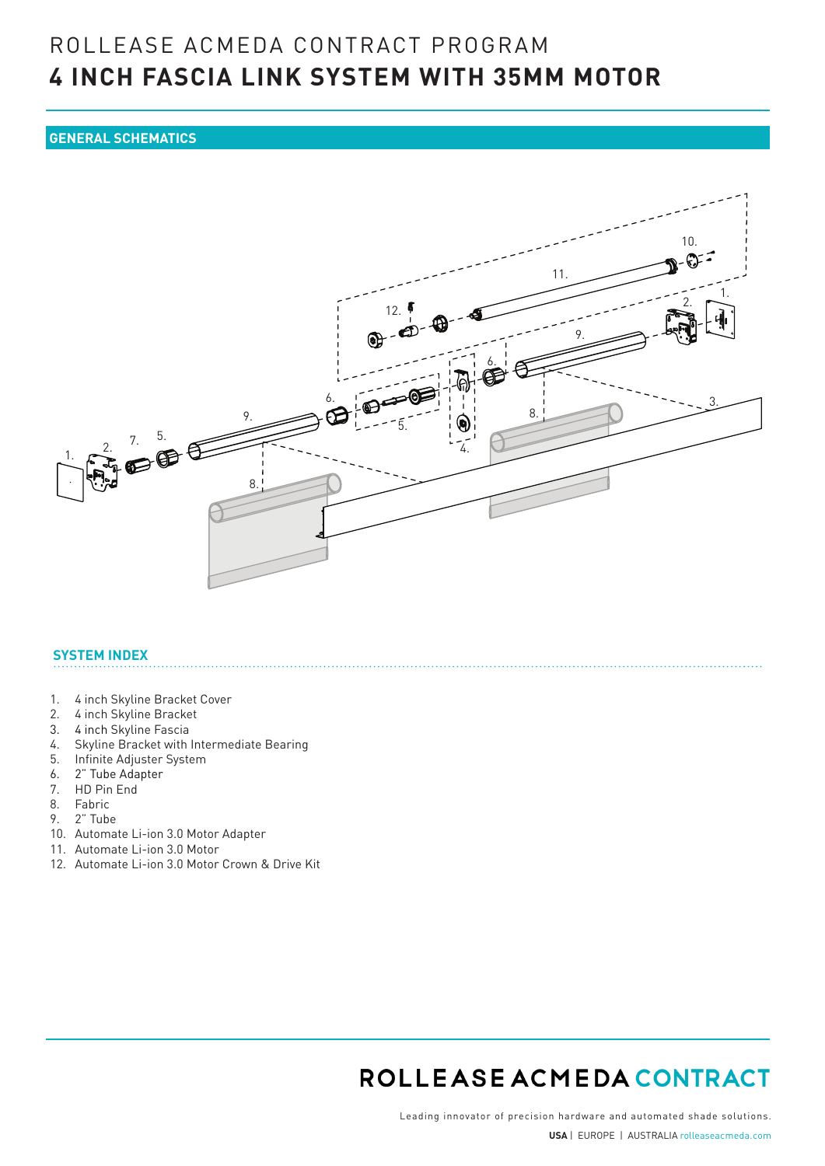## ROLLEASE ACMEDA CONTRACT PROGRAM **4 INCH FASCIA LINK SYSTEM WITH 35MM MOTOR**

### **GENERAL SCHEMATICS**



#### **SYSTEM INDEX**

- 1. 4 inch Skyline Bracket Cover
- 2. 4 inch Skyline Bracket
- 3. 4 inch Skyline Fascia
- 4. Skyline Bracket with Intermediate Bearing
- 5. Infinite Adjuster System
- 6. 2" Tube Adapter
- 7. HD Pin End
- 8. Fabric
- 9. 2" Tube
- 10. Automate Li-ion 3.0 Motor Adapter
- 11. Automate Li-ion 3.0 Motor
- 12. Automate Li-ion 3.0 Motor Crown & Drive Kit

## ROLLEASE ACMEDA CONTRACT

Leading innovator of precision hardware and automated shade solutions. **USA** | EUROPE | AUSTRALIA rolleaseacmeda.com